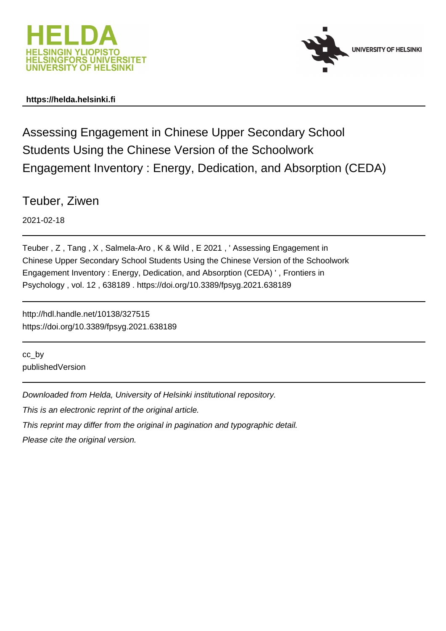



### **https://helda.helsinki.fi**

Assessing Engagement in Chinese Upper Secondary School Students Using the Chinese Version of the Schoolwork Engagement Inventory : Energy, Dedication, and Absorption (CEDA)

Teuber, Ziwen

2021-02-18

Teuber , Z , Tang , X , Salmela-Aro , K & Wild , E 2021 , ' Assessing Engagement in Chinese Upper Secondary School Students Using the Chinese Version of the Schoolwork Engagement Inventory : Energy, Dedication, and Absorption (CEDA) ' , Frontiers in Psychology , vol. 12 , 638189 . https://doi.org/10.3389/fpsyg.2021.638189

http://hdl.handle.net/10138/327515 https://doi.org/10.3389/fpsyg.2021.638189

cc\_by publishedVersion

Downloaded from Helda, University of Helsinki institutional repository.

This is an electronic reprint of the original article.

This reprint may differ from the original in pagination and typographic detail.

Please cite the original version.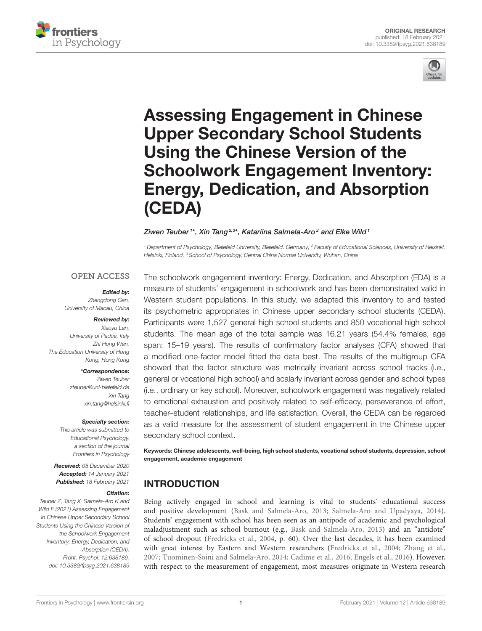



# Assessing Engagement in Chinese Upper Secondary School Students Using the Chinese Version of the [Schoolwork Engagement Inventory:](https://www.frontiersin.org/articles/10.3389/fpsyg.2021.638189/full) Energy, Dedication, and Absorption (CEDA)

#### Ziwen Teuber1\*, Xin Tang<sup>2,3</sup>\*, Katariina Salmela-Aro<sup>2</sup> and Elke Wild1

*<sup>1</sup> Department of Psychology, Bielefeld University, Bielefeld, Germany, <sup>2</sup> Faculty of Educational Sciences, University of Helsinki, Helsinki, Finland, <sup>3</sup> School of Psychology, Central China Normal University, Wuhan, China*

### **OPEN ACCESS**

#### Edited by:

*Zhengdong Gan, University of Macau, China*

#### Reviewed by:

*Xiaoyu Lan, University of Padua, Italy Zhi Hong Wan, The Education University of Hong Kong, Hong Kong*

#### \*Correspondence:

*Ziwen Teuber [zteuber@uni-bielefeld.de](mailto:zteuber@uni-bielefeld.de) Xin Tang [xin.tang@helsinki.fi](mailto:xin.tang@helsinki.fi)*

#### Specialty section:

*This article was submitted to Educational Psychology, a section of the journal Frontiers in Psychology*

Received: *05 December 2020* Accepted: *14 January 2021* Published: *18 February 2021*

#### Citation:

*Teuber Z, Tang X, Salmela-Aro K and Wild E (2021) Assessing Engagement in Chinese Upper Secondary School Students Using the Chinese Version of the Schoolwork Engagement Inventory: Energy, Dedication, and Absorption (CEDA). Front. Psychol. 12:638189. doi: [10.3389/fpsyg.2021.638189](https://doi.org/10.3389/fpsyg.2021.638189)*

The schoolwork engagement inventory: Energy, Dedication, and Absorption (EDA) is a measure of students' engagement in schoolwork and has been demonstrated valid in Western student populations. In this study, we adapted this inventory to and tested its psychometric appropriates in Chinese upper secondary school students (CEDA). Participants were 1,527 general high school students and 850 vocational high school students. The mean age of the total sample was 16.21 years (54.4% females, age span: 15–19 years). The results of confirmatory factor analyses (CFA) showed that a modified one-factor model fitted the data best. The results of the multigroup CFA showed that the factor structure was metrically invariant across school tracks (i.e., general or vocational high school) and scalarly invariant across gender and school types (i.e., ordinary or key school). Moreover, schoolwork engagement was negatively related to emotional exhaustion and positively related to self-efficacy, perseverance of effort, teacher–student relationships, and life satisfaction. Overall, the CEDA can be regarded as a valid measure for the assessment of student engagement in the Chinese upper secondary school context.

Keywords: Chinese adolescents, well-being, high school students, vocational school students, depression, school engagement, academic engagement

# INTRODUCTION

Being actively engaged in school and learning is vital to students' educational success and positive development (Bask and Salmela-Aro, 2013; Salmela-Aro and Upadyaya, 2014). Students' engagement with school has been seen as an antipode of academic and psychological maladjustment such as school burnout (e.g., Bask and Salmela-Aro, 2013) and an "antidote" of school dropout (Fredricks et al., 2004, p. 60). Over the last decades, it has been examined with great interest by Eastern and Western researchers (Fredricks et al., 2004; Zhang et al., 2007; Tuominen-Soini and Salmela-Aro, 2014; Cadime et al., 2016; Engels et al., 2016). However, with respect to the measurement of engagement, most measures originate in Western research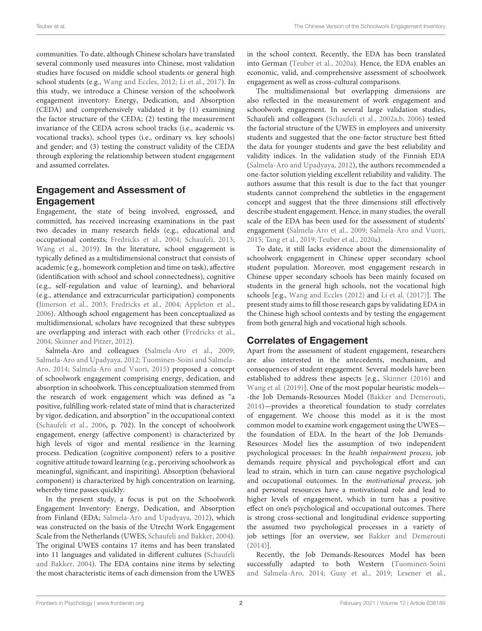communities. To date, although Chinese scholars have translated several commonly used measures into Chinese, most validation studies have focused on middle school students or general high school students (e.g., Wang and Eccles, 2012; Li et al., 2017). In this study, we introduce a Chinese version of the schoolwork engagement inventory: Energy, Dedication, and Absorption (CEDA) and comprehensively validated it by (1) examining the factor structure of the CEDA; (2) testing the measurement invariance of the CEDA across school tracks (i.e., academic vs. vocational tracks), school types (i.e., ordinary vs. key schools) and gender; and (3) testing the construct validity of the CEDA through exploring the relationship between student engagement and assumed correlates.

### Engagement and Assessment of **Engagement**

Engagement, the state of being involved, engrossed, and committed, has received increasing examinations in the past two decades in many research fields (e.g., educational and occupational contexts; Fredricks et al., 2004; Schaufeli, 2013; Wang et al., 2019). In the literature, school engagement is typically defined as a multidimensional construct that consists of academic (e.g., homework completion and time on task), affective (identification with school and school connectedness), cognitive (e.g., self-regulation and value of learning), and behavioral (e.g., attendance and extracurricular participation) components (Jimerson et al., 2003; Fredricks et al., 2004; Appleton et al., 2006). Although school engagement has been conceptualized as multidimensional, scholars have recognized that these subtypes are overlapping and interact with each other (Fredricks et al., 2004; Skinner and Pitzer, 2012).

Salmela-Aro and colleagues (Salmela-Aro et al., 2009; Salmela-Aro and Upadyaya, 2012; Tuominen-Soini and Salmela-Aro, 2014; Salmela-Aro and Vuori, 2015) proposed a concept of schoolwork engagement comprising energy, dedication, and absorption in schoolwork. This conceptualization stemmed from the research of work engagement which was defined as "a positive, fulfilling work-related state of mind that is characterized by vigor, dedication, and absorption" in the occupational context (Schaufeli et al., 2006, p. 702). In the concept of schoolwork engagement, energy (affective component) is characterized by high levels of vigor and mental resilience in the learning process. Dedication (cognitive component) refers to a positive cognitive attitude toward learning (e.g., perceiving schoolwork as meaningful, significant, and inspiriting). Absorption (behavioral component) is characterized by high concentration on learning, whereby time passes quickly.

In the present study, a focus is put on the Schoolwork Engagement Inventory: Energy, Dedication, and Absorption from Finland (EDA; Salmela-Aro and Upadyaya, 2012), which was constructed on the basis of the Utrecht Work Engagement Scale from the Netherlands (UWES; Schaufeli and Bakker, 2004). The original UWES contains 17 items and has been translated into 11 languages and validated in different cultures (Schaufeli and Bakker, 2004). The EDA contains nine items by selecting the most characteristic items of each dimension from the UWES in the school context. Recently, the EDA has been translated into German (Teuber et al., 2020a). Hence, the EDA enables an economic, valid, and comprehensive assessment of schoolwork engagement as well as cross-cultural comparisons.

The multidimensional but overlapping dimensions are also reflected in the measurement of work engagement and schoolwork engagement. In several large validation studies, Schaufeli and colleagues (Schaufeli et al., 2002a,b, 2006) tested the factorial structure of the UWES in employees and university students and suggested that the one-factor structure best fitted the data for younger students and gave the best reliability and validity indices. In the validation study of the Finnish EDA (Salmela-Aro and Upadyaya, 2012), the authors recommended a one-factor solution yielding excellent reliability and validity. The authors assume that this result is due to the fact that younger students cannot comprehend the subtleties in the engagement concept and suggest that the three dimensions still effectively describe student engagement. Hence, in many studies, the overall scale of the EDA has been used for the assessment of students' engagement (Salmela-Aro et al., 2009; Salmela-Aro and Vuori, 2015; Tang et al., 2019; Teuber et al., 2020a).

To date, it still lacks evidence about the dimensionality of schoolwork engagement in Chinese upper secondary school student population. Moreover, most engagement research in Chinese upper secondary schools has been mainly focused on students in the general high schools, not the vocational high schools [e.g., Wang and Eccles (2012) and Li et al. (2017)]. The present study aims to fill those research gaps by validating EDA in the Chinese high school contexts and by testing the engagement from both general high and vocational high schools.

### Correlates of Engagement

Apart from the assessment of student engagement, researchers are also interested in the antecedents, mechanism, and consequences of student engagement. Several models have been established to address these aspects [e.g., Skinner (2016) and Wang et al. (2019)]. One of the most popular heuristic models— -the Job Demands-Resources Model (Bakker and Demerouti, 2014)—provides a theoretical foundation to study correlates of engagement. We choose this model as it is the most common model to examine work engagement using the UWES the foundation of EDA. In the heart of the Job Demands-Resources Model lies the assumption of two independent psychological processes: In the health impairment process, job demands require physical and psychological effort and can lead to strain, which in turn can cause negative psychological and occupational outcomes. In the motivational process, job and personal resources have a motivational role and lead to higher levels of engagement, which in turn has a positive effect on one's psychological and occupational outcomes. There is strong cross-sectional and longitudinal evidence supporting the assumed two psychological processes in a variety of job settings [for an overview, see Bakker and Demerouti (2014)].

Recently, the Job Demands-Resources Model has been successfully adapted to both Western (Tuominen-Soini and Salmela-Aro, 2014; Gusy et al., 2019; Lesener et al.,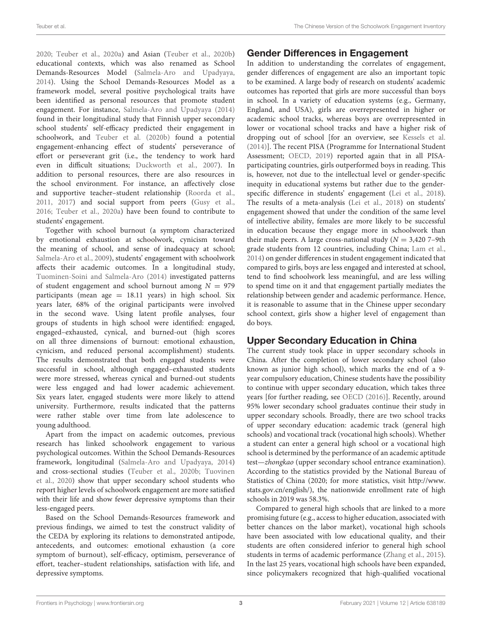2020; Teuber et al., 2020a) and Asian (Teuber et al., 2020b) educational contexts, which was also renamed as School Demands-Resources Model (Salmela-Aro and Upadyaya, 2014). Using the School Demands-Resources Model as a framework model, several positive psychological traits have been identified as personal resources that promote student engagement. For instance, Salmela-Aro and Upadyaya (2014) found in their longitudinal study that Finnish upper secondary school students' self-efficacy predicted their engagement in schoolwork, and Teuber et al. (2020b) found a potential engagement-enhancing effect of students' perseverance of effort or perseverant grit (i.e., the tendency to work hard even in difficult situations; Duckworth et al., 2007). In addition to personal resources, there are also resources in the school environment. For instance, an affectively close and supportive teacher–student relationship (Roorda et al., 2011, 2017) and social support from peers (Gusy et al., 2016; Teuber et al., 2020a) have been found to contribute to students' engagement.

Together with school burnout (a symptom characterized by emotional exhaustion at schoolwork, cynicism toward the meaning of school, and sense of inadequacy at school; Salmela-Aro et al., 2009), students' engagement with schoolwork affects their academic outcomes. In a longitudinal study, Tuominen-Soini and Salmela-Aro (2014) investigated patterns of student engagement and school burnout among  $N = 979$ participants (mean age  $= 18.11$  years) in high school. Six years later, 68% of the original participants were involved in the second wave. Using latent profile analyses, four groups of students in high school were identified: engaged, engaged–exhausted, cynical, and burned-out (high scores on all three dimensions of burnout: emotional exhaustion, cynicism, and reduced personal accomplishment) students. The results demonstrated that both engaged students were successful in school, although engaged–exhausted students were more stressed, whereas cynical and burned-out students were less engaged and had lower academic achievement. Six years later, engaged students were more likely to attend university. Furthermore, results indicated that the patterns were rather stable over time from late adolescence to young adulthood.

Apart from the impact on academic outcomes, previous research has linked schoolwork engagement to various psychological outcomes. Within the School Demands-Resources framework, longitudinal (Salmela-Aro and Upadyaya, 2014) and cross-sectional studies (Teuber et al., 2020b; Tuovinen et al., 2020) show that upper secondary school students who report higher levels of schoolwork engagement are more satisfied with their life and show fewer depressive symptoms than their less-engaged peers.

Based on the School Demands-Resources framework and previous findings, we aimed to test the construct validity of the CEDA by exploring its relations to demonstrated antipode, antecedents, and outcomes: emotional exhaustion (a core symptom of burnout), self-efficacy, optimism, perseverance of effort, teacher–student relationships, satisfaction with life, and depressive symptoms.

## Gender Differences in Engagement

In addition to understanding the correlates of engagement, gender differences of engagement are also an important topic to be examined. A large body of research on students' academic outcomes has reported that girls are more successful than boys in school. In a variety of education systems (e.g., Germany, England, and USA), girls are overrepresented in higher or academic school tracks, whereas boys are overrepresented in lower or vocational school tracks and have a higher risk of dropping out of school [for an overview, see Kessels et al. (2014)]. The recent PISA (Programme for International Student Assessment; OECD, 2019) reported again that in all PISAparticipating countries, girls outperformed boys in reading. This is, however, not due to the intellectual level or gender-specific inequity in educational systems but rather due to the genderspecific difference in students' engagement (Lei et al., 2018). The results of a meta-analysis (Lei et al., 2018) on students' engagement showed that under the condition of the same level of intellective ability, females are more likely to be successful in education because they engage more in schoolwork than their male peers. A large cross-national study  $(N = 3,4207 -9$ th grade students from 12 countries, including China; Lam et al., 2014) on gender differences in student engagement indicated that compared to girls, boys are less engaged and interested at school, tend to find schoolwork less meaningful, and are less willing to spend time on it and that engagement partially mediates the relationship between gender and academic performance. Hence, it is reasonable to assume that in the Chinese upper secondary school context, girls show a higher level of engagement than do boys.

# Upper Secondary Education in China

The current study took place in upper secondary schools in China. After the completion of lower secondary school (also known as junior high school), which marks the end of a 9 year compulsory education, Chinese students have the possibility to continue with upper secondary education, which takes three years [for further reading, see OECD (2016)]. Recently, around 95% lower secondary school graduates continue their study in upper secondary schools. Broadly, there are two school tracks of upper secondary education: academic track (general high schools) and vocational track (vocational high schools). Whether a student can enter a general high school or a vocational high school is determined by the performance of an academic aptitude test—zhongkao (upper secondary school entrance examination). According to the statistics provided by the National Bureau of Statistics of China (2020; for more statistics, visit [http://www.](http://www.stats.gov.cn/english/) [stats.gov.cn/english/\)](http://www.stats.gov.cn/english/), the nationwide enrollment rate of high schools in 2019 was 58.3%.

Compared to general high schools that are linked to a more promising future (e.g., access to higher education, associated with better chances on the labor market), vocational high schools have been associated with low educational quality, and their students are often considered inferior to general high school students in terms of academic performance (Zhang et al., 2015). In the last 25 years, vocational high schools have been expanded, since policymakers recognized that high-qualified vocational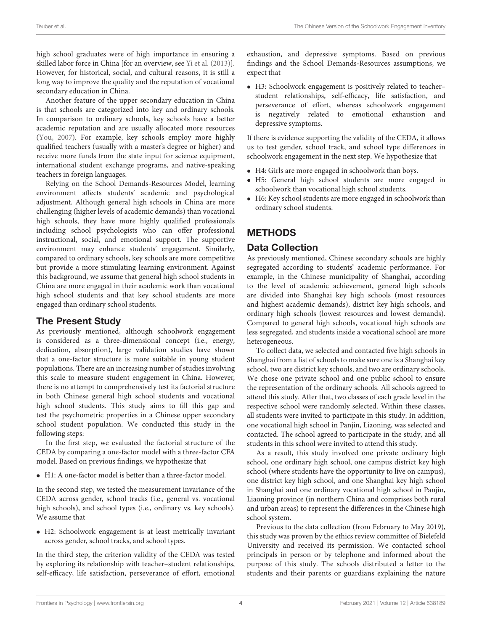high school graduates were of high importance in ensuring a skilled labor force in China [for an overview, see Yi et al. (2013)]. However, for historical, social, and cultural reasons, it is still a long way to improve the quality and the reputation of vocational secondary education in China.

Another feature of the upper secondary education in China is that schools are categorized into key and ordinary schools. In comparison to ordinary schools, key schools have a better academic reputation and are usually allocated more resources (You, 2007). For example, key schools employ more highly qualified teachers (usually with a master's degree or higher) and receive more funds from the state input for science equipment, international student exchange programs, and native-speaking teachers in foreign languages.

Relying on the School Demands-Resources Model, learning environment affects students' academic and psychological adjustment. Although general high schools in China are more challenging (higher levels of academic demands) than vocational high schools, they have more highly qualified professionals including school psychologists who can offer professional instructional, social, and emotional support. The supportive environment may enhance students' engagement. Similarly, compared to ordinary schools, key schools are more competitive but provide a more stimulating learning environment. Against this background, we assume that general high school students in China are more engaged in their academic work than vocational high school students and that key school students are more engaged than ordinary school students.

### The Present Study

As previously mentioned, although schoolwork engagement is considered as a three-dimensional concept (i.e., energy, dedication, absorption), large validation studies have shown that a one-factor structure is more suitable in young student populations. There are an increasing number of studies involving this scale to measure student engagement in China. However, there is no attempt to comprehensively test its factorial structure in both Chinese general high school students and vocational high school students. This study aims to fill this gap and test the psychometric properties in a Chinese upper secondary school student population. We conducted this study in the following steps:

In the first step, we evaluated the factorial structure of the CEDA by comparing a one-factor model with a three-factor CFA model. Based on previous findings, we hypothesize that

• H1: A one-factor model is better than a three-factor model.

In the second step, we tested the measurement invariance of the CEDA across gender, school tracks (i.e., general vs. vocational high schools), and school types (i.e., ordinary vs. key schools). We assume that

• H2: Schoolwork engagement is at least metrically invariant across gender, school tracks, and school types.

In the third step, the criterion validity of the CEDA was tested by exploring its relationship with teacher–student relationships, self-efficacy, life satisfaction, perseverance of effort, emotional

exhaustion, and depressive symptoms. Based on previous findings and the School Demands-Resources assumptions, we expect that

• H3: Schoolwork engagement is positively related to teacher– student relationships, self-efficacy, life satisfaction, and perseverance of effort, whereas schoolwork engagement is negatively related to emotional exhaustion and depressive symptoms.

If there is evidence supporting the validity of the CEDA, it allows us to test gender, school track, and school type differences in schoolwork engagement in the next step. We hypothesize that

- H4: Girls are more engaged in schoolwork than boys.
- H5: General high school students are more engaged in schoolwork than vocational high school students.
- H6: Key school students are more engaged in schoolwork than ordinary school students.

# **METHODS**

### Data Collection

As previously mentioned, Chinese secondary schools are highly segregated according to students' academic performance. For example, in the Chinese municipality of Shanghai, according to the level of academic achievement, general high schools are divided into Shanghai key high schools (most resources and highest academic demands), district key high schools, and ordinary high schools (lowest resources and lowest demands). Compared to general high schools, vocational high schools are less segregated, and students inside a vocational school are more heterogeneous.

To collect data, we selected and contacted five high schools in Shanghai from a list of schools to make sure one is a Shanghai key school, two are district key schools, and two are ordinary schools. We chose one private school and one public school to ensure the representation of the ordinary schools. All schools agreed to attend this study. After that, two classes of each grade level in the respective school were randomly selected. Within these classes, all students were invited to participate in this study. In addition, one vocational high school in Panjin, Liaoning, was selected and contacted. The school agreed to participate in the study, and all students in this school were invited to attend this study.

As a result, this study involved one private ordinary high school, one ordinary high school, one campus district key high school (where students have the opportunity to live on campus), one district key high school, and one Shanghai key high school in Shanghai and one ordinary vocational high school in Panjin, Liaoning province (in northern China and comprises both rural and urban areas) to represent the differences in the Chinese high school system.

Previous to the data collection (from February to May 2019), this study was proven by the ethics review committee of Bielefeld University and received its permission. We contacted school principals in person or by telephone and informed about the purpose of this study. The schools distributed a letter to the students and their parents or guardians explaining the nature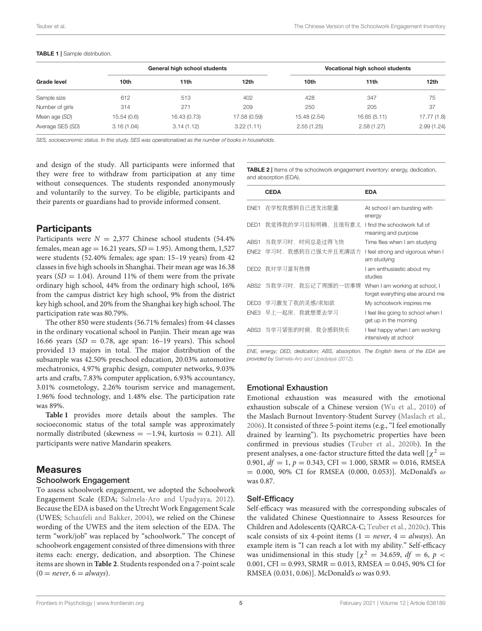|                  | General high school students |              |              | Vocational high school students |             |             |  |
|------------------|------------------------------|--------------|--------------|---------------------------------|-------------|-------------|--|
| Grade level      | 10th                         | 11th         | 12th         | 10th                            | 11th        | 12th        |  |
| Sample size      | 612                          | 513          | 402          | 428                             | 347         | 75          |  |
| Number of girls  | 314                          | 271          | 209          | 250                             | 205         | 37          |  |
| Mean age (SD)    | 15.54(0.6)                   | 16.43 (0.73) | 17.58 (0.59) | 15.48 (2.54)                    | 16.65(5.11) | 17.77 (1.8) |  |
| Average SES (SD) | 3.16(1.04)                   | 3.14(1.12)   | 3.22(1.11)   | 2.55(1.25)                      | 2.58(1.27)  | 2.99(1.24)  |  |

#### TABLE 1 | Sample distribution.

SES, socioeconomic status. In this study, SES was operationalized as the number of books in households.

and design of the study. All participants were informed that they were free to withdraw from participation at any time without consequences. The students responded anonymously and voluntarily to the survey. To be eligible, participants and their parents or guardians had to provide informed consent.

### **Participants**

Participants were  $N = 2,377$  Chinese school students (54.4%) females, mean age = 16.21 years,  $SD = 1.95$ ). Among them, 1,527 were students (52.40% females; age span: 15–19 years) from 42 classes in five high schools in Shanghai. Their mean age was 16.38 years  $(SD = 1.04)$ . Around 11% of them were from the private ordinary high school, 44% from the ordinary high school, 16% from the campus district key high school, 9% from the district key high school, and 20% from the Shanghai key high school. The participation rate was 80.79%.

The other 850 were students (56.71% females) from 44 classes in the ordinary vocational school in Panjin. Their mean age was 16.66 years ( $SD = 0.78$ , age span: 16-19 years). This school provided 13 majors in total. The major distribution of the subsample was 42.50% preschool education, 20.03% automotive mechatronics, 4.97% graphic design, computer networks, 9.03% arts and crafts, 7.83% computer application, 6.93% accountancy, 3.01% cosmetology, 2.26% tourism service and management, 1.96% food technology, and 1.48% else. The participation rate was 89%.

**Table 1** provides more details about the samples. The socioeconomic status of the total sample was approximately normally distributed (skewness =  $-1.94$ , kurtosis = 0.21). All participants were native Mandarin speakers.

### **Measures**

#### Schoolwork Engagement

To assess schoolwork engagement, we adopted the Schoolwork Engagement Scale (EDA; Salmela-Aro and Upadyaya, 2012). Because the EDA is based on the Utrecht Work Engagement Scale (UWES; Schaufeli and Bakker, 2004), we relied on the Chinese wording of the UWES and the item selection of the EDA. The term "work/job" was replaced by "schoolwork." The concept of schoolwork engagement consisted of three dimensions with three items each: energy, dedication, and absorption. The Chinese items are shown in **Table 2**. Students responded on a 7-point scale  $(0 = never, 6 = always).$ 

TABLE 2 | Items of the schoolwork engagement inventory: energy, dedication, and absorption (EDA).

|                  | <b>CEDA</b>            | <b>EDA</b>                                                         |
|------------------|------------------------|--------------------------------------------------------------------|
| FNE1             | 在学校我感到自己讲发出能量          | At school I am bursting with<br>energy                             |
| DED <sub>1</sub> | 我觉得我的学习目标明确,且很有意义      | I find the schoolwork full of<br>meaning and purpose               |
| ABS1             | 当我学习时,时间总是过得飞快         | Time flies when I am studying                                      |
|                  | ENE2 学习时,我感到自己强大并且充满活力 | I feel strong and vigorous when I<br>am studying                   |
|                  | DED2 我对学习富有热情          | I am enthusiastic about my<br>studies                              |
|                  | ABS2 当我学习时,我忘记了周围的一切事情 | When I am working at school, I<br>forget everything else around me |
|                  | DED3 学习激发了我的灵感/求知欲     | My schoolwork inspires me                                          |
|                  | ENE3 早上一起床,我就想要去学习     | I feel like going to school when I<br>get up in the morning        |
|                  | ABS3 当学习紧张的时候,我会感到快乐   | I feel happy when I am working<br>intensively at school            |

*ENE, energy; DED, dedication; ABS, absorption. The English items of the EDA are provided by Salmela-Aro and Upadyaya (2012).*

### Emotional Exhaustion

Emotional exhaustion was measured with the emotional exhaustion subscale of a Chinese version (Wu et al., 2010) of the Maslach Burnout Inventory-Student Survey (Maslach et al., 2006). It consisted of three 5-point items (e.g., "I feel emotionally drained by learning"). Its psychometric properties have been confirmed in previous studies (Teuber et al., 2020b). In the present analyses, a one-factor structure fitted the data well  $[\chi^2 =$ 0.901,  $df = 1$ ,  $p = 0.343$ , CFI = 1.000, SRMR = 0.016, RMSEA  $= 0.000, 90\%$  CI for RMSEA (0.000, 0.053)]. McDonald's  $\omega$ was 0.87.

### Self-Efficacy

Self-efficacy was measured with the corresponding subscales of the validated Chinese Questionnaire to Assess Resources for Children and Adolescents (QARCA-C; Teuber et al., 2020c). This scale consists of six 4-point items ( $1 = never$ ,  $4 = always$ ). An example item is "I can reach a lot with my ability." Self-efficacy was unidimensional in this study  $[\chi^2 = 34.659, df = 6, p <$ 0.001, CFI = 0.993, SRMR = 0.013, RMSEA = 0.045, 90% CI for RMSEA (0.031, 0.06)]. McDonald's  $\omega$  was 0.93.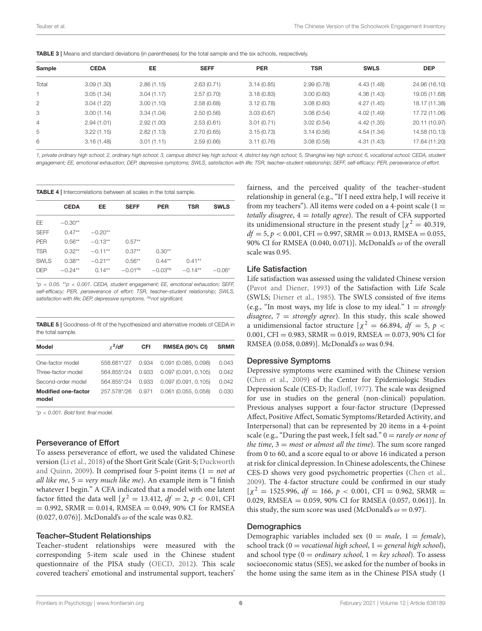| <b>TABLE 3</b>   Means and standard deviations (in parentheses) for the total sample and the six schools, respectively. |  |  |  |  |  |
|-------------------------------------------------------------------------------------------------------------------------|--|--|--|--|--|
|-------------------------------------------------------------------------------------------------------------------------|--|--|--|--|--|

| Sample         | <b>CEDA</b> | EE         | <b>SEFF</b> | <b>PER</b> | TSR        | <b>SWLS</b> | <b>DEP</b>    |
|----------------|-------------|------------|-------------|------------|------------|-------------|---------------|
| Total          | 3.09(1.30)  | 2.86(1.15) | 2.63(0.71)  | 3.14(0.85) | 2.99(0.78) | 4.43(1.48)  | 24.96 (16.10) |
|                | 3.05(1.34)  | 3.04(1.17) | 2.57(0.70)  | 3.18(0.83) | 3.00(0.60) | 4.36(1.43)  | 19.05 (11.68) |
| $\overline{2}$ | 3.04(1.22)  | 3.00(1.10) | 2.58(0.68)  | 3.12(0.78) | 3.08(0.60) | 4.27(1.45)  | 18.17 (11.38) |
| 3              | 3.00(1.14)  | 3.34(1.04) | 2.50(0.56)  | 3.03(0.67) | 3.08(0.54) | 4.02(1.49)  | 17.72 (11.06) |
| 4              | 2.94(1.01)  | 2.92(1.00) | 2.53(0.61)  | 3.01(0.71) | 3.02(0.54) | 4.42(1.35)  | 20.11 (10.97) |
| 5              | 3.22(1.15)  | 2.82(1.13) | 2.70(0.65)  | 3.15(0.73) | 3.14(0.56) | 4.54(1.34)  | 14.58 (10.13) |
| 6              | 3.16(1.48)  | 3.01(1.11) | 2.59(0.66)  | 3.11(0.76) | 3.08(0.58) | 4.31(1.43)  | 17.64 (11.20) |
|                |             |            |             |            |            |             |               |

*1, private ordinary high school; 2, ordinary high school; 3, campus district key high school; 4, district key high school; 5, Shanghai key high school; 6, vocational school; CEDA, student engagement; EE, emotional exhaustion; DEP, depressive symptoms; SWLS, satisfaction with life; TSR, teacher–student relationship; SEFF, self-efficacy; PER, perseverance of effort.*

|             | <b>CEDA</b> | EE         | <b>SEFF</b> | <b>PER</b> | <b>TSR</b> | <b>SWLS</b> |
|-------------|-------------|------------|-------------|------------|------------|-------------|
| EE          | $-0.30**$   |            |             |            |            |             |
| <b>SEFF</b> | $0.47**$    | $-0.20**$  |             |            |            |             |
| <b>PER</b>  | $0.56***$   | $-0.13**$  | $0.57**$    |            |            |             |
| <b>TSR</b>  | $0.32**$    | $-0.11**$  | $0.37**$    | $0.30**$   |            |             |
| <b>SWLS</b> | $0.38***$   | $-0.21***$ | $0.56**$    | $0.44**$   | $0.41**$   |             |
| <b>DEP</b>  | $-0.24**$   | $0.14**$   | $-0.01ns$   | $-0.03ns$  | $-0.14**$  | $-0.06*$    |

\**p* < *0.05.* \*\**p* < *0.001. CEDA, student engagement; EE, emotional exhaustion; SEFF, self-efficacy; PER, perseverance of effort; TSR, teacher–student relationship; SWLS, satisfaction with life; DEP, depressive symptoms. nsnot significant.*

TABLE 5 | Goodness-of-fit of the hypothesized and alternative models of CEDA in the total sample.

| Model                               | $x^2$ /df   | <b>CFI</b> | <b>RMSEA (90% CI)</b>  | <b>SRMR</b> |
|-------------------------------------|-------------|------------|------------------------|-------------|
| One-factor model                    | 558.681*/27 | 0.934      | $0.091$ (0.085, 0.098) | 0.043       |
| Three-factor model                  | 564.855*/24 | 0.933      | 0.097(0.091, 0.105)    | 0.042       |
| Second-order model                  | 564.855*/24 | 0.933      | 0.097(0.091, 0.105)    | 0.042       |
| <b>Modified one-factor</b><br>model | 257.578*/26 | 0.971      | $0.061$ (0.055, 0.058) | 0.030       |

\**p* < *0.001. Bold font: final model.*

#### Perseverance of Effort

To assess perseverance of effort, we used the validated Chinese version (Li et al., 2018) of the Short Grit Scale (Grit-S; Duckworth and Quinn, 2009). It comprised four 5-point items  $(1 = not at$ all like me,  $5 = \text{very much like me}$ ). An example item is "I finish whatever I begin." A CFA indicated that a model with one latent factor fitted the data well  $[\chi^2 = 13.412, df = 2, p < 0.01, CFI$  $= 0.992$ , SRMR  $= 0.014$ , RMSEA  $= 0.049$ , 90% CI for RMSEA (0.027, 0.076)]. McDonald's  $\omega$  of the scale was 0.82.

#### Teacher–Student Relationships

Teacher–student relationships were measured with the corresponding 5-item scale used in the Chinese student questionnaire of the PISA study (OECD, 2012). This scale covered teachers' emotional and instrumental support, teachers' fairness, and the perceived quality of the teacher–student relationship in general (e.g., "If I need extra help, I will receive it from my teachers"). All items were coded on a 4-point scale  $(1 =$ totally disagree,  $4 =$  totally agree). The result of CFA supported its unidimensional structure in the present study  $[\chi^2 = 40.319,$  $df = 5, p < 0.001$ , CFI = 0.997, SRMR = 0.013, RMSEA = 0.055, 90% CI for RMSEA (0.040, 0.071)]. McDonald's  $\omega$  of the overall scale was 0.95.

### Life Satisfaction

Life satisfaction was assessed using the validated Chinese version (Pavot and Diener, 1993) of the Satisfaction with Life Scale (SWLS; Diener et al., 1985). The SWLS consisted of five items (e.g., "In most ways, my life is close to my ideal."  $1 =$  strongly disagree,  $7 =$  strongly agree). In this study, this scale showed a unidimensional factor structure  $[\chi^2 = 66.894, df = 5, p <$ 0.001, CFI = 0.983, SRMR = 0.019, RMSEA = 0.073, 90% CI for RMSEA (0.058, 0.089)]. McDonald's  $\omega$  was 0.94.

### Depressive Symptoms

Depressive symptoms were examined with the Chinese version (Chen et al., 2009) of the Center for Epidemiologic Studies Depression Scale (CES-D; Radloff, 1977). The scale was designed for use in studies on the general (non-clinical) population. Previous analyses support a four-factor structure (Depressed Affect, Positive Affect, Somatic Symptoms/Retarded Activity, and Interpersonal) that can be represented by 20 items in a 4-point scale (e.g., "During the past week, I felt sad."  $0 = \text{rarely or none of}$ the time,  $3 = most$  or almost all the time). The sum score ranged from 0 to 60, and a score equal to or above 16 indicated a person at risk for clinical depression. In Chinese adolescents, the Chinese CES-D shows very good psychometric properties (Chen et al., 2009). The 4-factor structure could be confirmed in our study  $[\chi^2 = 1525.996, df = 166, p < 0.001, CFI = 0.962, SRMR =$ 0.029, RMSEA =  $0.059$ , 90% CI for RMSEA  $(0.057, 0.061)$ ]. In this study, the sum score was used (McDonald's  $\omega = 0.97$ ).

#### **Demographics**

Demographic variables included sex  $(0 = male, 1 = female)$ , school track (0 = vocational high school, 1 = general high school), and school type  $(0 = \text{ordinary school}, 1 = \text{key school})$ . To assess socioeconomic status (SES), we asked for the number of books in the home using the same item as in the Chinese PISA study (1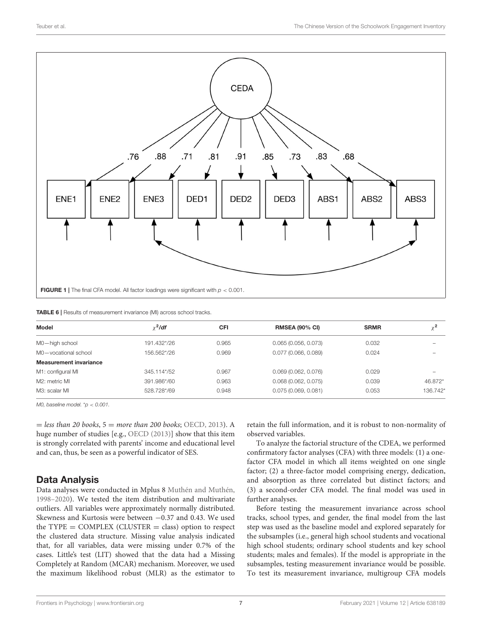

| Model                         | $x^2$ /df   | <b>CFI</b> | <b>RMSEA (90% CI)</b> | <b>SRMR</b> | $\chi^2$ |
|-------------------------------|-------------|------------|-----------------------|-------------|----------|
| M0-high school                | 191.432*/26 | 0.965      | 0.065(0.056, 0.073)   | 0.032       |          |
| M0-vocational school          | 156.562*/26 | 0.969      | 0.077(0.066, 0.089)   | 0.024       |          |
| <b>Measurement invariance</b> |             |            |                       |             |          |
| M1: configural MI             | 345.114*/52 | 0.967      | 0.069(0.062, 0.076)   | 0.029       |          |
| M2: metric MI                 | 391.986*/60 | 0.963      | 0.068(0.062, 0.075)   | 0.039       | 46.872*  |
| M3: scalar MI                 | 528.728*/69 | 0.948      | 0.075(0.069, 0.081)   | 0.053       | 136.742* |

*M0, baseline model.* \**p* < *0.001.*

 $=$  less than 20 books,  $5 =$  more than 200 books; OECD, 2013). A huge number of studies [e.g., OECD (2013)] show that this item is strongly correlated with parents' income and educational level and can, thus, be seen as a powerful indicator of SES.

### Data Analysis

Data analyses were conducted in Mplus 8 Muthén and Muthén, 1998–2020). We tested the item distribution and multivariate outliers. All variables were approximately normally distributed. Skewness and Kurtosis were between −0.37 and 0.43. We used the  $TYPE = COMPLEX (CLUSTER = class)$  option to respect the clustered data structure. Missing value analysis indicated that, for all variables, data were missing under 0.7% of the cases. Little's test (LIT) showed that the data had a Missing Completely at Random (MCAR) mechanism. Moreover, we used the maximum likelihood robust (MLR) as the estimator to retain the full information, and it is robust to non-normality of observed variables.

To analyze the factorial structure of the CDEA, we performed confirmatory factor analyses (CFA) with three models: (1) a onefactor CFA model in which all items weighted on one single factor; (2) a three-factor model comprising energy, dedication, and absorption as three correlated but distinct factors; and (3) a second-order CFA model. The final model was used in further analyses.

Before testing the measurement invariance across school tracks, school types, and gender, the final model from the last step was used as the baseline model and explored separately for the subsamples (i.e., general high school students and vocational high school students; ordinary school students and key school students; males and females). If the model is appropriate in the subsamples, testing measurement invariance would be possible. To test its measurement invariance, multigroup CFA models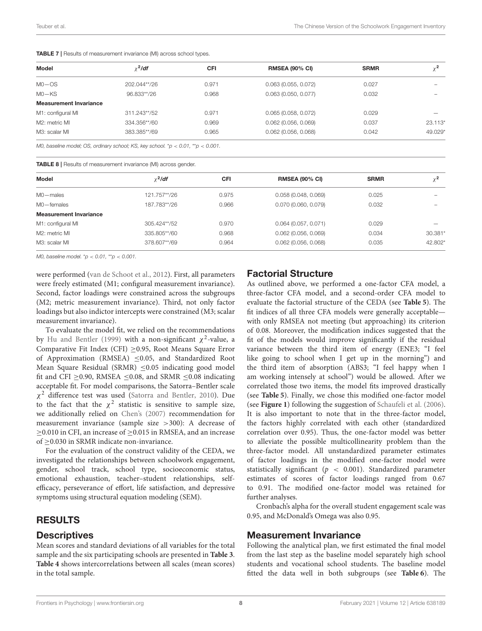| Model                         | $\chi^2$ /df | CFI   | <b>RMSEA (90% CI)</b>  | <b>SRMR</b> |         |
|-------------------------------|--------------|-------|------------------------|-------------|---------|
| $MO$ $-OS$                    | 202.044**/26 | 0.971 | 0.063(0.055, 0.072)    | 0.027       |         |
| $MO$ -KS                      | 96.833**/26  | 0.968 | 0.063(0.050, 0.077)    | 0.032       |         |
| <b>Measurement Invariance</b> |              |       |                        |             |         |
| M1: configural MI             | 311.243**/52 | 0.971 | 0.065(0.058, 0.072)    | 0.029       |         |
| M2: metric MI                 | 334.356**/60 | 0.969 | 0.062(0.056, 0.069)    | 0.037       | 23.113* |
| M3: scalar MI                 | 383.385**/69 | 0.965 | $0.062$ (0.056, 0.068) | 0.042       | 49.029* |

TABLE 7 | Results of measurement invariance (MI) across school types.

*M0, baseline model; OS, ordinary school; KS, key school.* \**p* < *0.01,* \*\**p* < *0.001.*

TABLE 8 | Results of measurement invariance (MI) across gender.

| Model                         | $x^2$ /df    | <b>CFI</b> | <b>RMSEA (90% CI)</b>  | <b>SRMR</b> | $\sim$ 2 |
|-------------------------------|--------------|------------|------------------------|-------------|----------|
| M0-males                      | 121.757**/26 | 0.975      | 0.058(0.048, 0.069)    | 0.025       |          |
| M0-females                    | 187.783**/26 | 0.966      | 0.070(0.060, 0.079)    | 0.032       |          |
| <b>Measurement Invariance</b> |              |            |                        |             |          |
| M1: configural MI             | 305.424**/52 | 0.970      | 0.064(0.057, 0.071)    | 0.029       |          |
| M2: metric MI                 | 335,805**/60 | 0.968      | $0.062$ (0.056, 0.069) | 0.034       | 30.381*  |
| M3: scalar MI                 | 378.607**/69 | 0.964      | $0.062$ (0.056, 0.068) | 0.035       | 42.802*  |
|                               |              |            |                        |             |          |

*M0, baseline model.* \**p* < *0.01,* \*\**p* < *0.001.*

were performed (van de Schoot et al., 2012). First, all parameters were freely estimated (M1; configural measurement invariance). Second, factor loadings were constrained across the subgroups (M2; metric measurement invariance). Third, not only factor loadings but also indictor intercepts were constrained (M3; scalar measurement invariance).

To evaluate the model fit, we relied on the recommendations by Hu and Bentler (1999) with a non-significant  $\chi^2$ -value, a Comparative Fit Index (CFI) ≥0.95, Root Means Square Error of Approximation (RMSEA) ≤0.05, and Standardized Root Mean Square Residual (SRMR)  $\leq 0.05$  indicating good model fit and CFI  $\geq$ 0.90, RMSEA  $\leq$ 0.08, and SRMR  $\leq$ 0.08 indicating acceptable fit. For model comparisons, the Satorra–Bentler scale  $\chi^2$  difference test was used (Satorra and Bentler, 2010). Due to the fact that the  $\chi^2$  statistic is sensitive to sample size, we additionally relied on Chen's (2007) recommendation for measurement invariance (sample size >300): A decrease of ≥0.010 in CFI, an increase of ≥0.015 in RMSEA, and an increase of ≥0.030 in SRMR indicate non-invariance.

For the evaluation of the construct validity of the CEDA, we investigated the relationships between schoolwork engagement, gender, school track, school type, socioeconomic status, emotional exhaustion, teacher–student relationships, selfefficacy, perseverance of effort, life satisfaction, and depressive symptoms using structural equation modeling (SEM).

### RESULTS

### **Descriptives**

Mean scores and standard deviations of all variables for the total sample and the six participating schools are presented in **Table 3**. **Table 4** shows intercorrelations between all scales (mean scores) in the total sample.

### Factorial Structure

As outlined above, we performed a one-factor CFA model, a three-factor CFA model, and a second-order CFA model to evaluate the factorial structure of the CEDA (see **Table 5**). The fit indices of all three CFA models were generally acceptable with only RMSEA not meeting (but approaching) its criterion of 0.08. Moreover, the modification indices suggested that the fit of the models would improve significantly if the residual variance between the third item of energy (ENE3; "I feel like going to school when I get up in the morning") and the third item of absorption (ABS3; "I feel happy when I am working intensely at school") would be allowed. After we correlated those two items, the model fits improved drastically (see **Table 5**). Finally, we chose this modified one-factor model (see **Figure 1**) following the suggestion of Schaufeli et al. (2006). It is also important to note that in the three-factor model, the factors highly correlated with each other (standardized correlation over 0.95). Thus, the one-factor model was better to alleviate the possible multicollinearity problem than the three-factor model. All unstandardized parameter estimates of factor loadings in the modified one-factor model were statistically significant ( $p < 0.001$ ). Standardized parameter estimates of scores of factor loadings ranged from 0.67 to 0.91. The modified one-factor model was retained for further analyses.

Cronbach's alpha for the overall student engagement scale was 0.95, and McDonald's Omega was also 0.95.

### Measurement Invariance

Following the analytical plan, we first estimated the final model from the last step as the baseline model separately high school students and vocational school students. The baseline model fitted the data well in both subgroups (see **Table 6**). The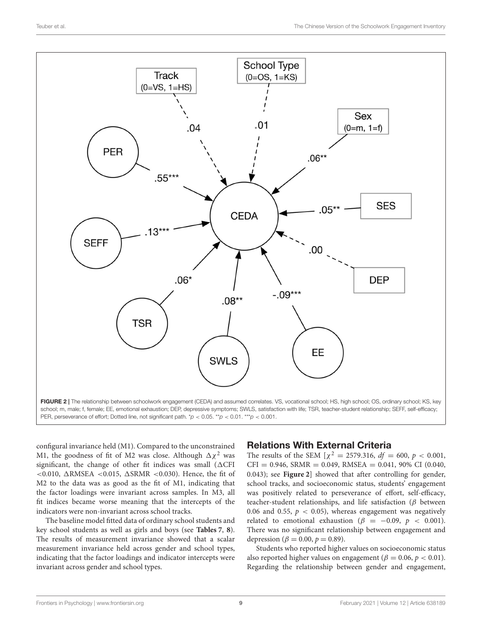

configural invariance held (M1). Compared to the unconstrained M1, the goodness of fit of M2 was close. Although  $\Delta \chi^2$  was significant, the change of other fit indices was small  $(\triangle CFI)$  $<$ 0.010,  $\triangle$ RMSEA  $<$ 0.015,  $\triangle$ SRMR  $<$ 0.030). Hence, the fit of M2 to the data was as good as the fit of M1, indicating that the factor loadings were invariant across samples. In M3, all fit indices became worse meaning that the intercepts of the indicators were non-invariant across school tracks.

The baseline model fitted data of ordinary school students and key school students as well as girls and boys (see **Tables 7**, **8**). The results of measurement invariance showed that a scalar measurement invariance held across gender and school types, indicating that the factor loadings and indicator intercepts were invariant across gender and school types.

### Relations With External Criteria

The results of the SEM  $[\chi^2 = 2579.316, df = 600, p < 0.001,$  $CFI = 0.946$ ,  $SRMR = 0.049$ ,  $RMSEA = 0.041$ ,  $90\%$  CI (0.040, 0.043); see **Figure 2**] showed that after controlling for gender, school tracks, and socioeconomic status, students' engagement was positively related to perseverance of effort, self-efficacy, teacher-student relationships, and life satisfaction ( $\beta$  between 0.06 and 0.55,  $p < 0.05$ ), whereas engagement was negatively related to emotional exhaustion ( $\beta$  = -0.09,  $p$  < 0.001). There was no significant relationship between engagement and depression ( $\beta = 0.00, p = 0.89$ ).

Students who reported higher values on socioeconomic status also reported higher values on engagement ( $\beta = 0.06$ ,  $p < 0.01$ ). Regarding the relationship between gender and engagement,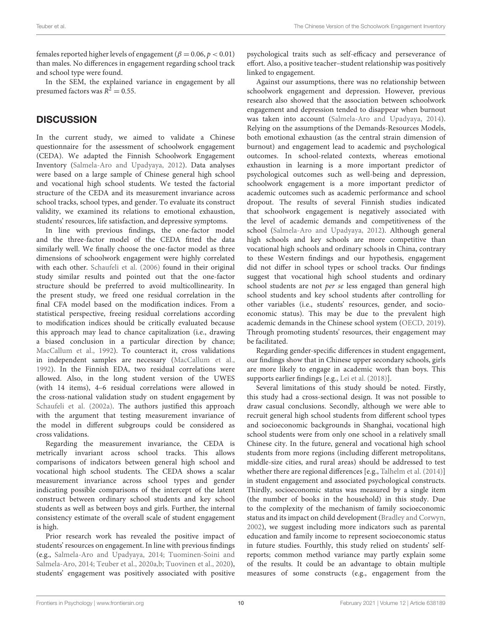females reported higher levels of engagement ( $\beta = 0.06, p < 0.01$ ) than males. No differences in engagement regarding school track and school type were found.

In the SEM, the explained variance in engagement by all presumed factors was  $R^2 = 0.55$ .

## **DISCUSSION**

In the current study, we aimed to validate a Chinese questionnaire for the assessment of schoolwork engagement (CEDA). We adapted the Finnish Schoolwork Engagement Inventory (Salmela-Aro and Upadyaya, 2012). Data analyses were based on a large sample of Chinese general high school and vocational high school students. We tested the factorial structure of the CEDA and its measurement invariance across school tracks, school types, and gender. To evaluate its construct validity, we examined its relations to emotional exhaustion, students' resources, life satisfaction, and depressive symptoms.

In line with previous findings, the one-factor model and the three-factor model of the CEDA fitted the data similarly well. We finally choose the one-factor model as three dimensions of schoolwork engagement were highly correlated with each other. Schaufeli et al. (2006) found in their original study similar results and pointed out that the one-factor structure should be preferred to avoid multicollinearity. In the present study, we freed one residual correlation in the final CFA model based on the modification indices. From a statistical perspective, freeing residual correlations according to modification indices should be critically evaluated because this approach may lead to chance capitalization (i.e., drawing a biased conclusion in a particular direction by chance; MacCallum et al., 1992). To counteract it, cross validations in independent samples are necessary (MacCallum et al., 1992). In the Finnish EDA, two residual correlations were allowed. Also, in the long student version of the UWES (with 14 items), 4–6 residual correlations were allowed in the cross-national validation study on student engagement by Schaufeli et al. (2002a). The authors justified this approach with the argument that testing measurement invariance of the model in different subgroups could be considered as cross validations.

Regarding the measurement invariance, the CEDA is metrically invariant across school tracks. This allows comparisons of indicators between general high school and vocational high school students. The CEDA shows a scalar measurement invariance across school types and gender indicating possible comparisons of the intercept of the latent construct between ordinary school students and key school students as well as between boys and girls. Further, the internal consistency estimate of the overall scale of student engagement is high.

Prior research work has revealed the positive impact of students' resources on engagement. In line with previous findings (e.g., Salmela-Aro and Upadyaya, 2014; Tuominen-Soini and Salmela-Aro, 2014; Teuber et al., 2020a,b; Tuovinen et al., 2020), students' engagement was positively associated with positive psychological traits such as self-efficacy and perseverance of effort. Also, a positive teacher–student relationship was positively linked to engagement.

Against our assumptions, there was no relationship between schoolwork engagement and depression. However, previous research also showed that the association between schoolwork engagement and depression tended to disappear when burnout was taken into account (Salmela-Aro and Upadyaya, 2014). Relying on the assumptions of the Demands-Resources Models, both emotional exhaustion (as the central strain dimension of burnout) and engagement lead to academic and psychological outcomes. In school-related contexts, whereas emotional exhaustion in learning is a more important predictor of psychological outcomes such as well-being and depression, schoolwork engagement is a more important predictor of academic outcomes such as academic performance and school dropout. The results of several Finnish studies indicated that schoolwork engagement is negatively associated with the level of academic demands and competitiveness of the school (Salmela-Aro and Upadyaya, 2012). Although general high schools and key schools are more competitive than vocational high schools and ordinary schools in China, contrary to these Western findings and our hypothesis, engagement did not differ in school types or school tracks. Our findings suggest that vocational high school students and ordinary school students are not *per se* less engaged than general high school students and key school students after controlling for other variables (i.e., students' resources, gender, and socioeconomic status). This may be due to the prevalent high academic demands in the Chinese school system (OECD, 2019). Through promoting students' resources, their engagement may be facilitated.

Regarding gender-specific differences in student engagement, our findings show that in Chinese upper secondary schools, girls are more likely to engage in academic work than boys. This supports earlier findings [e.g., Lei et al. (2018)].

Several limitations of this study should be noted. Firstly, this study had a cross-sectional design. It was not possible to draw casual conclusions. Secondly, although we were able to recruit general high school students from different school types and socioeconomic backgrounds in Shanghai, vocational high school students were from only one school in a relatively small Chinese city. In the future, general and vocational high school students from more regions (including different metropolitans, middle-size cities, and rural areas) should be addressed to test whether there are regional differences [e.g., Talhelm et al. (2014)] in student engagement and associated psychological constructs. Thirdly, socioeconomic status was measured by a single item (the number of books in the household) in this study. Due to the complexity of the mechanism of family socioeconomic status and its impact on child development (Bradley and Corwyn, 2002), we suggest including more indicators such as parental education and family income to represent socioeconomic status in future studies. Fourthly, this study relied on students' selfreports; common method variance may partly explain some of the results. It could be an advantage to obtain multiple measures of some constructs (e.g., engagement from the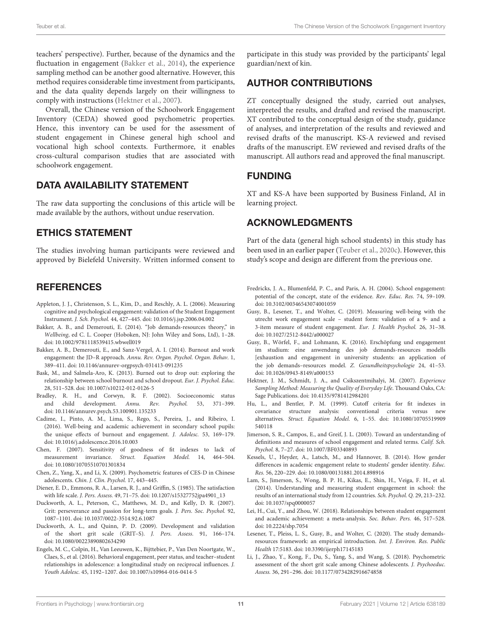teachers' perspective). Further, because of the dynamics and the fluctuation in engagement (Bakker et al., 2014), the experience sampling method can be another good alternative. However, this method requires considerable time investment from participants, and the data quality depends largely on their willingness to comply with instructions (Hektner et al., 2007).

Overall, the Chinese version of the Schoolwork Engagement Inventory (CEDA) showed good psychometric properties. Hence, this inventory can be used for the assessment of student engagement in Chinese general high school and vocational high school contexts. Furthermore, it enables cross-cultural comparison studies that are associated with schoolwork engagement.

### DATA AVAILABILITY STATEMENT

The raw data supporting the conclusions of this article will be made available by the authors, without undue reservation.

### ETHICS STATEMENT

The studies involving human participants were reviewed and approved by Bielefeld University. Written informed consent to

### **REFERENCES**

- Appleton, J. J., Christenson, S. L., Kim, D., and Reschly, A. L. (2006). Measuring cognitive and psychological engagement: validation of the Student Engagement Instrument. J. Sch. Psychol. 44, 427–445. doi: [10.1016/j.jsp.2006.04.002](https://doi.org/10.1016/j.jsp.2006.04.002)
- Bakker, A. B., and Demerouti, E. (2014). "Job demands-resources theory," in Wellbeing, ed C. L. Cooper (Hoboken, NJ: John Wiley and Sons, Ltd), 1–28. doi: [10.1002/9781118539415.wbwell019](https://doi.org/10.1002/9781118539415.wbwell019)
- Bakker, A. B., Demerouti, E., and Sanz-Vergel, A. I. (2014). Burnout and work engagement: the JD–R approach. Annu. Rev. Organ. Psychol. Organ. Behav. 1, 389–411. doi: [10.1146/annurev-orgpsych-031413-091235](https://doi.org/10.1146/annurev-orgpsych-031413-091235)
- Bask, M., and Salmela-Aro, K. (2013). Burned out to drop out: exploring the relationship between school burnout and school dropout. Eur. J. Psychol. Educ. 28, 511–528. doi: [10.1007/s10212-012-0126-5](https://doi.org/10.1007/s10212-012-0126-5)
- Bradley, R. H., and Corwyn, R. F. (2002). Socioeconomic status and child development. Annu. Rev. Psychol. 53, 371–399. doi: [10.1146/annurev.psych.53.100901.135233](https://doi.org/10.1146/annurev.psych.53.100901.135233)
- Cadime, I., Pinto, A. M., Lima, S., Rego, S., Pereira, J., and Ribeiro, I. (2016). Well-being and academic achievement in secondary school pupils: the unique effects of burnout and engagement. J. Adolesc. 53, 169–179. doi: [10.1016/j.adolescence.2016.10.003](https://doi.org/10.1016/j.adolescence.2016.10.003)
- Chen, F. (2007). Sensitivity of goodness of fit indexes to lack of measurement invariance. Struct. Equation Model. 14, 464–504. doi: [10.1080/10705510701301834](https://doi.org/10.1080/10705510701301834)
- Chen, Z., Yang, X., and Li, X. (2009). Psychometric features of CES-D in Chinese adolescents. Chin. J. Clin. Psychol. 17, 443–445.
- Diener, E. D., Emmons, R. A., Larsen, R. J., and Griffin, S. (1985). The satisfaction with life scale. J. Pers. Assess. 49, 71–75. doi: [10.1207/s15327752jpa4901\\_13](https://doi.org/10.1207/s15327752jpa4901_13)
- Duckworth, A. L., Peterson, C., Matthews, M. D., and Kelly, D. R. (2007). Grit: perseverance and passion for long-term goals. J. Pers. Soc. Psychol. 92, 1087–1101. doi: [10.1037/0022-3514.92.6.1087](https://doi.org/10.1037/0022-3514.92.6.1087)
- Duckworth, A. L., and Quinn, P. D. (2009). Development and validation of the short grit scale (GRIT–S). J. Pers. Assess. 91, 166–174. doi: [10.1080/00223890802634290](https://doi.org/10.1080/00223890802634290)
- Engels, M. C., Colpin, H., Van Leeuwen, K., Bijttebier, P., Van Den Noortgate, W., Claes, S., et al. (2016). Behavioral engagement, peer status, and teacher–student relationships in adolescence: a longitudinal study on reciprocal influences. J. Youth Adolesc. 45, 1192–1207. doi: [10.1007/s10964-016-0414-5](https://doi.org/10.1007/s10964-016-0414-5)

participate in this study was provided by the participants' legal guardian/next of kin.

### AUTHOR CONTRIBUTIONS

ZT conceptually designed the study, carried out analyses, interpreted the results, and drafted and revised the manuscript. XT contributed to the conceptual design of the study, guidance of analyses, and interpretation of the results and reviewed and revised drafts of the manuscript. KS-A reviewed and revised drafts of the manuscript. EW reviewed and revised drafts of the manuscript. All authors read and approved the final manuscript.

### FUNDING

XT and KS-A have been supported by Business Finland, AI in learning project.

### ACKNOWLEDGMENTS

Part of the data (general high school students) in this study has been used in an earlier paper (Teuber et al., 2020c). However, this study's scope and design are different from the previous one.

- Fredricks, J. A., Blumenfeld, P. C., and Paris, A. H. (2004). School engagement: potential of the concept, state of the evidence. Rev. Educ. Res. 74, 59–109. doi: [10.3102/00346543074001059](https://doi.org/10.3102/00346543074001059)
- Gusy, B., Lesener, T., and Wolter, C. (2019). Measuring well-being with the utrecht work engagement scale – student form: validation of a 9- and a 3-item measure of student engagement. Eur. J. Health Psychol. 26, 31–38. doi: [10.1027/2512-8442/a000027](https://doi.org/10.1027/2512-8442/a000027)
- Gusy, B., Wörfel, F., and Lohmann, K. (2016). Erschöpfung und engagement im studium: eine anwendung des job demands-resources modells [exhaustion and engagement in university students: an application of the job demands–resources model. Z. Gesundheitspsychologie 24, 41–53. doi: [10.1026/0943-8149/a000153](https://doi.org/10.1026/0943-8149/a000153)
- Hektner, J. M., Schmidt, J. A., and Csikszentmihalyi, M. (2007). Experience Sampling Method: Measuring the Quality of Everyday Life. Thousand Oaks, CA: Sage Publications. doi: [10.4135/9781412984201](https://doi.org/10.4135/9781412984201)
- Hu, L., and Bentler, P. M. (1999). Cutoff criteria for fit indexes in covariance structure analysis: conventional criteria versus new alternatives. Struct. Equation Model. [6, 1–55. doi: 10.1080/10705519909](https://doi.org/10.1080/10705519909540118) 540118
- Jimerson, S. R., Campos, E., and Greif, J. L. (2003). Toward an understanding of definitions and measures of school engagement and related terms. Calif. Sch. Psychol. 8, 7–27. doi: [10.1007/BF03340893](https://doi.org/10.1007/BF03340893)
- Kessels, U., Heyder, A., Latsch, M., and Hannover, B. (2014). How gender differences in academic engagement relate to students' gender identity. Educ. Res. 56, 220–229. doi: [10.1080/00131881.2014.898916](https://doi.org/10.1080/00131881.2014.898916)
- Lam, S., Jimerson, S., Wong, B. P. H., Kikas, E., Shin, H., Veiga, F. H., et al. (2014). Understanding and measuring student engagement in school: the results of an international study from 12 countries. Sch. Psychol. Q. 29, 213–232. doi: [10.1037/spq0000057](https://doi.org/10.1037/spq0000057)
- Lei, H., Cui, Y., and Zhou, W. (2018). Relationships between student engagement and academic achievement: a meta-analysis. Soc. Behav. Pers. 46, 517–528. doi: [10.2224/sbp.7054](https://doi.org/10.2224/sbp.7054)
- Lesener, T., Pleiss, L. S., Gusy, B., and Wolter, C. (2020). The study demandsresources framework: an empirical introduction. Int. J. Environ. Res. Public Health 17:5183. doi: [10.3390/ijerph17145183](https://doi.org/10.3390/ijerph17145183)
- Li, J., Zhao, Y., Kong, F., Du, S., Yang, S., and Wang, S. (2018). Psychometric assessment of the short grit scale among Chinese adolescents. J. Psychoeduc. Assess. 36, 291–296. doi: [10.1177/0734282916674858](https://doi.org/10.1177/0734282916674858)